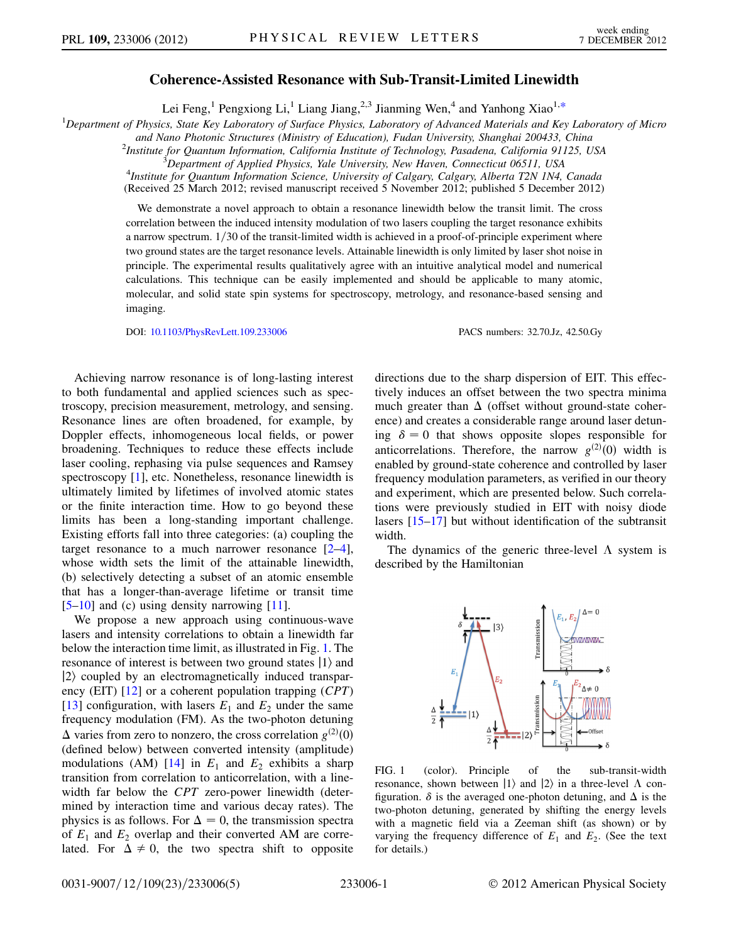## Coherence-Assisted Resonance with Sub-Transit-Limited Linewidth

Lei Feng,<sup>1</sup> Pengxiong Li,<sup>1</sup> Liang Jiang,<sup>2,3</sup> Jianming Wen,<sup>4</sup> and Yanhong Xiao<sup>1[,\\*](#page-3-0)</sup>

<span id="page-0-1"></span><sup>1</sup>Department of Physics, State Key Laboratory of Surface Physics, Laboratory of Advanced Materials and Key Laboratory of Micro

and Nano Photonic Structures (Ministry of Education), Fudan University, Shanghai 200433, China <sup>2</sup>

Institute for Quantum Information, California Institute of Technology, Pasadena, California 91125, USA<br><sup>3</sup>Denastment of Applied Physics, Vale University, New Hayen, Connecticut 06511, USA

<sup>3</sup>Department of Applied Physics, Yale University, New Haven, Connecticut 06511, USA  $^{4}$ Institute for Quantum Information Science, University of Calgary Calgary Alberta T<sub>2</sub>N 1M

<sup>4</sup>Institute for Quantum Information Science, University of Calgary, Calgary, Alberta T2N 1N4, Canada (Received 25 March 2012; revised manuscript received 5 November 2012; published 5 December 2012)

We demonstrate a novel approach to obtain a resonance linewidth below the transit limit. The cross correlation between the induced intensity modulation of two lasers coupling the target resonance exhibits a narrow spectrum.  $1/30$  of the transit-limited width is achieved in a proof-of-principle experiment where two ground states are the target resonance levels. Attainable linewidth is only limited by laser shot noise in principle. The experimental results qualitatively agree with an intuitive analytical model and numerical calculations. This technique can be easily implemented and should be applicable to many atomic, molecular, and solid state spin systems for spectroscopy, metrology, and resonance-based sensing and imaging.

DOI: [10.1103/PhysRevLett.109.233006](http://dx.doi.org/10.1103/PhysRevLett.109.233006) PACS numbers: 32.70.Jz, 42.50.Gy

Achieving narrow resonance is of long-lasting interest to both fundamental and applied sciences such as spectroscopy, precision measurement, metrology, and sensing. Resonance lines are often broadened, for example, by Doppler effects, inhomogeneous local fields, or power broadening. Techniques to reduce these effects include laser cooling, rephasing via pulse sequences and Ramsey spectroscopy [\[1](#page-3-1)], etc. Nonetheless, resonance linewidth is ultimately limited by lifetimes of involved atomic states or the finite interaction time. How to go beyond these limits has been a long-standing important challenge. Existing efforts fall into three categories: (a) coupling the target resonance to a much narrower resonance  $[2-4]$  $[2-4]$  $[2-4]$ , whose width sets the limit of the attainable linewidth, (b) selectively detecting a subset of an atomic ensemble that has a longer-than-average lifetime or transit time  $[5-10]$  $[5-10]$  $[5-10]$  and (c) using density narrowing  $[11]$  $[11]$  $[11]$ .

We propose a new approach using continuous-wave lasers and intensity correlations to obtain a linewidth far below the interaction time limit, as illustrated in Fig. [1.](#page-0-0) The resonance of interest is between two ground states  $|1\rangle$  and  $|2\rangle$  coupled by an electromagnetically induced transparency (EIT)  $[12]$  or a coherent population trapping (*CPT*) [\[13\]](#page-4-5) configuration, with lasers  $E_1$  and  $E_2$  under the same frequency modulation (FM). As the two-photon detuning  $\Delta$  varies from zero to nonzero, the cross correlation  $g^{(2)}(0)$ <br>(defined below) between converted intensity (amplitude) (defined below) between converted intensity (amplitude) modulations (AM) [\[14\]](#page-4-6) in  $E_1$  and  $E_2$  exhibits a sharp transition from correlation to anticorrelation, with a linewidth far below the CPT zero-power linewidth (determined by interaction time and various decay rates). The physics is as follows. For  $\Delta = 0$ , the transmission spectra of  $E_1$  and  $E_2$  overlap and their converted AM are correlated. For  $\Delta \neq 0$ , the two spectra shift to opposite directions due to the sharp dispersion of EIT. This effectively induces an offset between the two spectra minima much greater than  $\Delta$  (offset without ground-state coherence) and creates a considerable range around laser detuning  $\delta = 0$  that shows opposite slopes responsible for anticorrelations. Therefore, the narrow  $g^{(2)}(0)$  width is<br>enabled by ground-state coherence and controlled by laser enabled by ground-state coherence and controlled by laser frequency modulation parameters, as verified in our theory and experiment, which are presented below. Such correlations were previously studied in EIT with noisy diode lasers [[15](#page-4-7)–[17](#page-4-8)] but without identification of the subtransit width.

The dynamics of the generic three-level  $\Lambda$  system is described by the Hamiltonian

<span id="page-0-0"></span>

FIG. 1 (color). Principle of the sub-transit-width resonance, shown between  $|1\rangle$  and  $|2\rangle$  in a three-level  $\Lambda$  configuration.  $\delta$  is the averaged one-photon detuning, and  $\Delta$  is the two-photon detuning, generated by shifting the energy levels with a magnetic field via a Zeeman shift (as shown) or by varying the frequency difference of  $E_1$  and  $E_2$ . (See the text for details.)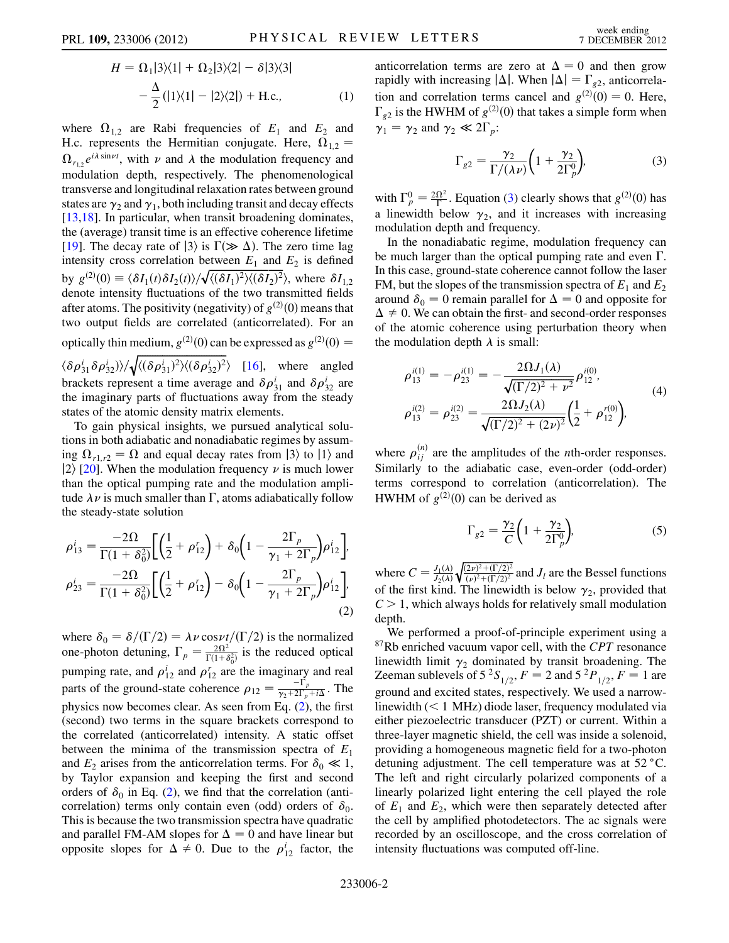$$
H = \Omega_1 |3\rangle\langle 1| + \Omega_2 |3\rangle\langle 2| - \delta |3\rangle\langle 3|
$$
  
 
$$
-\frac{\Delta}{2} (|1\rangle\langle 1| - |2\rangle\langle 2|) + \text{H.c.},
$$
 (1)

where  $\Omega_{1,2}$  are Rabi frequencies of  $E_1$  and  $E_2$  and H.c. represents the Hermitian conjugate. Here,  $\Omega_{1,2}$  =  $\Omega_{r_{1,2}}e^{i\lambda \sin \nu t}$ , with  $\nu$  and  $\lambda$  the modulation frequency and modulation donth recreatively. The phanomanological modulation depth, respectively. The phenomenological transverse and longitudinal relaxation rates between ground states are  $\gamma_2$  and  $\gamma_1$ , both including transit and decay effects [\[13](#page-4-5)[,18\]](#page-4-9). In particular, when transit broadening dominates, the (average) transit time is an effective coherence lifetime [\[19\]](#page-4-10). The decay rate of  $|3\rangle$  is  $\Gamma(\gg \Delta)$ . The zero time lag intensity cross correlation between  $E_1$  and  $E_2$  is defined intensity cross correlation between  $E_1$  and  $E_2$  is defined<br>by  $g^{(2)}(0) = \langle \delta I_1(t) \delta I_2(t) \rangle / \sqrt{\langle (\delta I_1)^2 \rangle \langle (\delta I_2)^2 \rangle}$ , where  $\delta I_{1,2}$ <br>denote intensity fluctuations of the two transmitted fields denote intensity fluctuations of the two transmitted fields after atoms. The positivity (negativity) of  $g^{(2)}(0)$  means that<br>two output fields are correlated (anticorrelated). For an two output fields are correlated (anticorrelated). For an optically thin medium,  $g^{(2)}(0)$  can be expressed as  $g^{(2)}(0) =$ 

 $\langle \delta \rho_{31}^i \delta \rho_{32}^i \rangle / \sqrt{\langle (\delta \rho_{31}^i)^2 \rangle \langle (\delta \rho_{32}^i)^2 \rangle}$  [\[16](#page-4-11)], where angled brackets represent a time average and  $\delta \rho_{31}^i$  and  $\delta \rho_{32}^i$  are<br>the imaginary parts of fluctuations away from the steady the imaginary parts of fluctuations away from the steady states of the atomic density matrix elements.

To gain physical insights, we pursued analytical solutions in both adiabatic and nonadiabatic regimes by assuming  $\Omega_{r1,r2} = \Omega$  and equal decay rates from  $|3\rangle$  to  $|1\rangle$  and  $|2\rangle$  [\[20\]](#page-4-12). When the modulation frequency  $\nu$  is much lower than the optical pumping rate and the modulation amplitude  $\lambda \nu$  is much smaller than  $\Gamma$ , atoms adiabatically follow<br>the steady-state solution the steady-state solution

<span id="page-1-0"></span>
$$
\rho_{13}^{i} = \frac{-2\Omega}{\Gamma(1+\delta_{0}^{2})} \Biggl[ \Biggl( \frac{1}{2} + \rho_{12}^{r} \Biggr) + \delta_{0} \Biggl( 1 - \frac{2\Gamma_{p}}{\gamma_{1} + 2\Gamma_{p}} \Biggr) \rho_{12}^{i} \Biggr],
$$
  

$$
\rho_{23}^{i} = \frac{-2\Omega}{\Gamma(1+\delta_{0}^{2})} \Biggl[ \Biggl( \frac{1}{2} + \rho_{12}^{r} \Biggr) - \delta_{0} \Biggl( 1 - \frac{2\Gamma_{p}}{\gamma_{1} + 2\Gamma_{p}} \Biggr) \rho_{12}^{i} \Biggr],
$$
  
(2)

where  $\delta_0 = \delta/(\Gamma/2) = \lambda \nu \cos \nu t/(\Gamma/2)$  is the normalized<br>one-photon detuning  $\Gamma = -\frac{2\Omega^2}{\Gamma}$  is the reduced optical one-photon detuning,  $\Gamma_p = \frac{2\Omega^2}{\Gamma(1+\delta_0^2)}$  is the reduced optical  $\Gamma(1+\delta_0^2)$ pumping rate, and  $\rho_{12}^r$  and  $\rho_{12}^r$  are the imaginary and real<br>nexts of the ground state sebescases  $e^{-\frac{1}{r}r}$ . parts of the ground-state coherence  $\rho_{12} = \frac{-\Gamma_p}{\gamma_2 + 2\Gamma_p + i\Delta}$ . The physics now becomes clear. As seen from Eq. [\(2](#page-1-0)), the first (second) two terms in the square brackets correspond to the correlated (anticorrelated) intensity. A static offset between the minima of the transmission spectra of  $E_1$ and  $E_2$  arises from the anticorrelation terms. For  $\delta_0 \ll 1$ , by Taylor expansion and keeping the first and second orders of  $\delta_0$  in Eq. [\(2](#page-1-0)), we find that the correlation (anticorrelation) terms only contain even (odd) orders of  $\delta_0$ . This is because the two transmission spectra have quadratic and parallel FM-AM slopes for  $\Delta = 0$  and have linear but opposite slopes for  $\Delta \neq 0$ . Due to the  $\rho_{12}^i$  factor, the anticorrelation terms are zero at  $\Delta = 0$  and then grow rapidly with increasing  $|\Delta|$ . When  $|\Delta| = \Gamma_{g2}$ , anticorrelation and correlation terms cancel and  $g^{(2)}(0) = 0$ . Here,<br> $\Gamma_{\alpha}$  is the HWHM of  $g^{(2)}(0)$  that takes a simple form when  $\Gamma_{g2}$  is the HWHM of  $g^{(2)}(0)$  that takes a simple form when<br> $\gamma_0 = \gamma_0$  and  $\gamma_0 \ll 2\Gamma$ .  $\gamma_1 = \gamma_2$  and  $\gamma_2 \ll 2\Gamma_p$ :

$$
\Gamma_{g2} = \frac{\gamma_2}{\Gamma/(\lambda \nu)} \bigg( 1 + \frac{\gamma_2}{2\Gamma_p^0} \bigg),\tag{3}
$$

<span id="page-1-1"></span>with  $\Gamma_p^0 = \frac{2\Omega^2}{\Gamma}$ . Equation ([3\)](#page-1-1) clearly shows that  $g^{(2)}(0)$  has a linewidth below  $\gamma_2$ , and it increases with increasing modulation depth and frequency.

In the nonadiabatic regime, modulation frequency can be much larger than the optical pumping rate and even  $\Gamma$ . In this case, ground-state coherence cannot follow the laser FM, but the slopes of the transmission spectra of  $E_1$  and  $E_2$ around  $\delta_0 = 0$  remain parallel for  $\Delta = 0$  and opposite for  $\Delta \neq 0$ . We can obtain the first- and second-order responses of the atomic coherence using perturbation theory when the modulation depth  $\lambda$  is small:

<span id="page-1-2"></span>
$$
\rho_{13}^{i(1)} = -\rho_{23}^{i(1)} = -\frac{2\Omega J_1(\lambda)}{\sqrt{(\Gamma/2)^2 + \nu^2}} \rho_{12}^{i(0)},
$$
\n
$$
\rho_{13}^{i(2)} = \rho_{23}^{i(2)} = \frac{2\Omega J_2(\lambda)}{\sqrt{(\Gamma/2)^2 + (2\nu)^2}} \left(\frac{1}{2} + \rho_{12}^{r(0)}\right),
$$
\n(4)

where  $\rho_{ij}^{(n)}$  are the amplitudes of the *n*th-order responses.<br>Similarly to the ediphatic ages, even order (odd order) Similarly to the adiabatic case, even-order (odd-order) terms correspond to correlation (anticorrelation). The HWHM of  $g^{(2)}(0)$  can be derived as

$$
\Gamma_{g2} = \frac{\gamma_2}{C} \left( 1 + \frac{\gamma_2}{2\Gamma_p^0} \right),\tag{5}
$$

where  $C = \frac{J_1(\lambda)}{J_2(\lambda)}$  $J_2(\lambda)$   $\sqrt{\frac{p+1}{2}}$ <br>of the first kind. The linewidth is below  $\gamma_2$ , provided that  $C > 1$  which always holds for relatively small modulation Þ ffiffiffiffiffiffiffiffiffiffiffiffiffiffiffiffiffiffiffiffi  $\frac{(2\nu)^2 + (\Gamma/2)^2}{(\nu)^2 + (\Gamma/2)^2}$  $^{2}+(\Gamma/2)^{2}$  $\mathcal{L}$ and  $J_l$  are the Bessel functions  $C > 1$ , which always holds for relatively small modulation depth.

We performed a proof-of-principle experiment using a  $87Rb$  enriched vacuum vapor cell, with the CPT resonance linewidth limit  $\gamma_2$  dominated by transit broadening. The Zeeman sublevels of  $5^{2}S_{1/2}$ ,  $F = 2$  and  $5^{2}P_{1/2}$ ,  $F = 1$  are ground and excited states, respectively. We used a narrowlinewidth  $(< 1$  MHz) diode laser, frequency modulated via either piezoelectric transducer (PZT) or current. Within a three-layer magnetic shield, the cell was inside a solenoid, providing a homogeneous magnetic field for a two-photon detuning adjustment. The cell temperature was at  $52^{\circ}$ C. The left and right circularly polarized components of a linearly polarized light entering the cell played the role of  $E_1$  and  $E_2$ , which were then separately detected after the cell by amplified photodetectors. The ac signals were recorded by an oscilloscope, and the cross correlation of intensity fluctuations was computed off-line.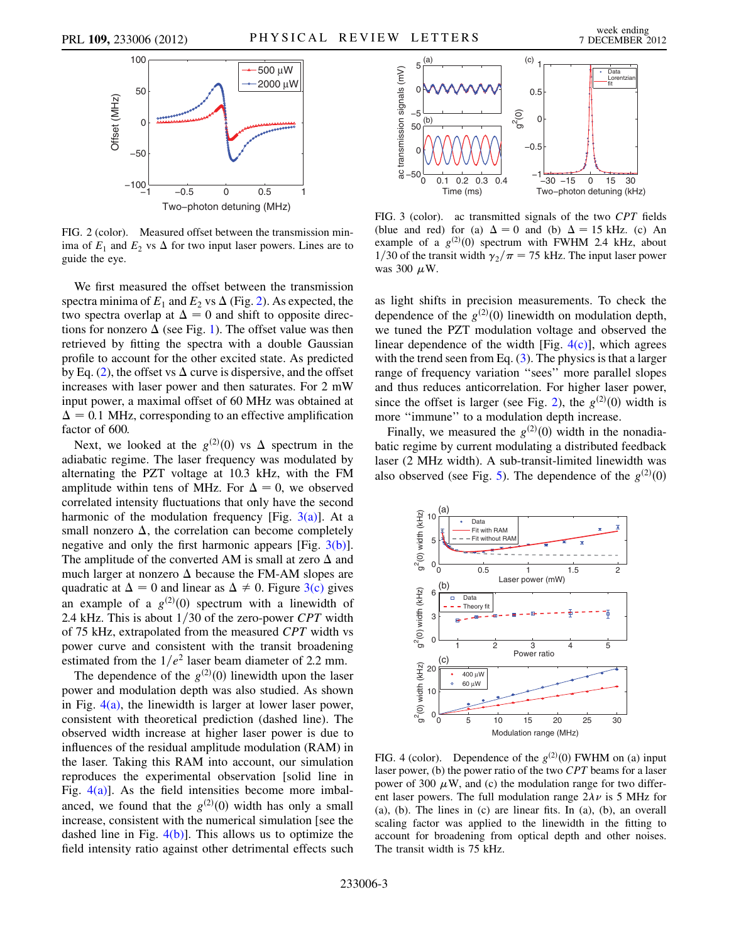<span id="page-2-0"></span>

FIG. 2 (color). Measured offset between the transmission minima of  $E_1$  and  $E_2$  vs  $\Delta$  for two input laser powers. Lines are to guide the eye.

We first measured the offset between the transmission spectra minima of  $E_1$  and  $E_2$  vs  $\Delta$  (Fig. [2\)](#page-2-0). As expected, the two spectra overlap at  $\Delta = 0$  and shift to opposite directions for nonzero  $\Delta$  (see Fig. [1\)](#page-0-0). The offset value was then retrieved by fitting the spectra with a double Gaussian profile to account for the other excited state. As predicted by Eq. [\(2\)](#page-1-0), the offset vs  $\Delta$  curve is dispersive, and the offset increases with laser power and then saturates. For 2 mW input power, a maximal offset of 60 MHz was obtained at  $\Delta = 0.1$  MHz, corresponding to an effective amplification factor of 600.

Next, we looked at the  $g^{(2)}(0)$  vs  $\Delta$  spectrum in the labatic regime. The laser frequency was modulated by adiabatic regime. The laser frequency was modulated by alternating the PZT voltage at 10.3 kHz, with the FM amplitude within tens of MHz. For  $\Delta = 0$ , we observed correlated intensity fluctuations that only have the second harmonic of the modulation frequency [Fig.  $3(a)$ ]. At a small nonzero  $\Delta$ , the correlation can become completely negative and only the first harmonic appears [Fig.  $3(b)$ ]. The amplitude of the converted AM is small at zero  $\Delta$  and much larger at nonzero  $\Delta$  because the FM-AM slopes are quadratic at  $\Delta = 0$  and linear as  $\Delta \neq 0$ . Figure [3\(c\)](#page-2-1) gives an example of a  $g^{(2)}(0)$  spectrum with a linewidth of  $2.4 \text{ kHz}$ . This is about  $1/30$  of the zero-power CPT width 2.4 kHz. This is about  $1/30$  of the zero-power CPT width of 75 kHz, extrapolated from the measured CPT width vs power curve and consistent with the transit broadening estimated from the  $1/e^2$  laser beam diameter of 2.2 mm.

The dependence of the  $g^{(2)}(0)$  linewidth upon the laser<br>wer and modulation denth was also studied. As shown power and modulation depth was also studied. As shown in Fig.  $4(a)$ , the linewidth is larger at lower laser power, consistent with theoretical prediction (dashed line). The observed width increase at higher laser power is due to influences of the residual amplitude modulation (RAM) in the laser. Taking this RAM into account, our simulation reproduces the experimental observation [solid line in Fig.  $4(a)$ ]. As the field intensities become more imbalanced, we found that the  $g^{(2)}(0)$  width has only a small<br>increase consistent with the numerical simulation [see the increase, consistent with the numerical simulation [see the dashed line in Fig.  $4(b)$ ]. This allows us to optimize the field intensity ratio against other detrimental effects such

![](_page_2_Figure_8.jpeg)

<span id="page-2-1"></span>FIG. 3 (color). ac transmitted signals of the two CPT fields (blue and red) for (a)  $\Delta = 0$  and (b)  $\Delta = 15$  kHz. (c) An example of a  $g^{(2)}(0)$  spectrum with FWHM 2.4 kHz, about  $1/30$  of the transit width  $\gamma_2/\pi = 75$  kHz. The input laser power 1/30 of the transit width  $\gamma_2/\pi = 75$  kHz. The input laser power was 300  $\mu$ W.

as light shifts in precision measurements. To check the dependence of the  $g^{(2)}(0)$  linewidth on modulation depth,<br>we tuned the PZT modulation voltage and observed the we tuned the PZT modulation voltage and observed the linear dependence of the width [Fig.  $4(c)$ ], which agrees with the trend seen from Eq. ([3](#page-1-1)). The physics is that a larger range of frequency variation ''sees'' more parallel slopes and thus reduces anticorrelation. For higher laser power, since the offset is larger (see Fig. [2\)](#page-2-0), the  $g^{(2)}(0)$  width is more "immune" to a modulation denth increase more ''immune'' to a modulation depth increase.

Finally, we measured the  $g^{(2)}(0)$  width in the nonadiation regime by current modulating a distributed feedback batic regime by current modulating a distributed feedback laser (2 MHz width). A sub-transit-limited linewidth was also observed (see Fig. [5](#page-3-3)). The dependence of the  $g^{(2)}(0)$ 

![](_page_2_Figure_12.jpeg)

<span id="page-2-2"></span>FIG. 4 (color). Dependence of the  $g^{(2)}(0)$  FWHM on (a) input<br>laser power (b) the power ratio of the two CPT beams for a laser laser power, (b) the power ratio of the two CPT beams for a laser power of 300  $\mu$ W, and (c) the modulation range for two different laser powers. The full modulation range  $2\lambda \nu$  is 5 MHz for (a) (b) The lines in (c) are linear fits In (a) (b) an overall (a), (b). The lines in (c) are linear fits. In (a), (b), an overall scaling factor was applied to the linewidth in the fitting to account for broadening from optical depth and other noises. The transit width is 75 kHz.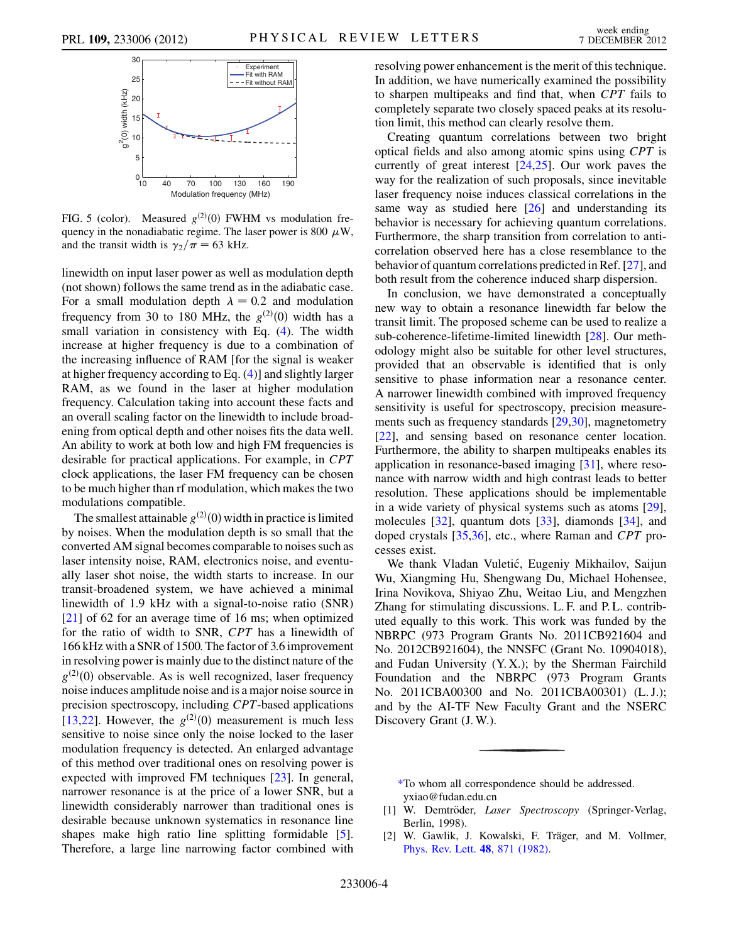<span id="page-3-3"></span>![](_page_3_Figure_3.jpeg)

FIG. 5 (color). Measured  $g^{(2)}(0)$  FWHM vs modulation fre-<br>quency in the nonadiabatic regime. The laser power is 800  $\mu$ W quency in the nonadiabatic regime. The laser power is 800  $\mu$ W, and the transit width is  $\gamma_2/\pi = 63$  kHz.

linewidth on input laser power as well as modulation depth (not shown) follows the same trend as in the adiabatic case. For a small modulation depth  $\lambda = 0.2$  and modulation<br>frequency from 30 to 180 MHz the  $g^{(2)}(0)$  width has a frequency from 30 to 180 MHz, the  $g^{(2)}(0)$  width has a small variation in consistency with Eq. (4). The width small variation in consistency with Eq. ([4\)](#page-1-2). The width increase at higher frequency is due to a combination of the increasing influence of RAM [for the signal is weaker at higher frequency according to Eq. ([4\)](#page-1-2)] and slightly larger RAM, as we found in the laser at higher modulation frequency. Calculation taking into account these facts and an overall scaling factor on the linewidth to include broadening from optical depth and other noises fits the data well. An ability to work at both low and high FM frequencies is desirable for practical applications. For example, in CPT clock applications, the laser FM frequency can be chosen to be much higher than rf modulation, which makes the two modulations compatible.

The smallest attainable  $g^{(2)}(0)$  width in practice is limited<br>noises. When the modulation denth is so small that the by noises. When the modulation depth is so small that the converted AM signal becomes comparable to noises such as laser intensity noise, RAM, electronics noise, and eventually laser shot noise, the width starts to increase. In our transit-broadened system, we have achieved a minimal linewidth of 1.9 kHz with a signal-to-noise ratio (SNR) [\[21\]](#page-4-13) of 62 for an average time of 16 ms; when optimized for the ratio of width to SNR, CPT has a linewidth of 166 kHz with a SNR of 1500. The factor of 3.6 improvement in resolving power is mainly due to the distinct nature of the  $g^{(2)}(0)$  observable. As is well recognized, laser frequency<br>noise induces amplitude noise and is a major noise source in noise induces amplitude noise and is a major noise source in precision spectroscopy, including CPT-based applications [\[13](#page-4-5)[,22\]](#page-4-14). However, the  $g^{(2)}(0)$  measurement is much less<br>sensitive to noise since only the noise locked to the laser sensitive to noise since only the noise locked to the laser modulation frequency is detected. An enlarged advantage of this method over traditional ones on resolving power is expected with improved FM techniques [[23\]](#page-4-15). In general, narrower resonance is at the price of a lower SNR, but a linewidth considerably narrower than traditional ones is desirable because unknown systematics in resonance line shapes make high ratio line splitting formidable [[5\]](#page-4-1). Therefore, a large line narrowing factor combined with resolving power enhancement is the merit of this technique. In addition, we have numerically examined the possibility to sharpen multipeaks and find that, when CPT fails to completely separate two closely spaced peaks at its resolution limit, this method can clearly resolve them.

Creating quantum correlations between two bright optical fields and also among atomic spins using CPT is currently of great interest [[24](#page-4-16),[25](#page-4-17)]. Our work paves the way for the realization of such proposals, since inevitable laser frequency noise induces classical correlations in the same way as studied here  $[26]$  $[26]$  $[26]$  and understanding its behavior is necessary for achieving quantum correlations. Furthermore, the sharp transition from correlation to anticorrelation observed here has a close resemblance to the behavior of quantum correlations predicted in Ref. [[27](#page-4-19)], and both result from the coherence induced sharp dispersion.

In conclusion, we have demonstrated a conceptually new way to obtain a resonance linewidth far below the transit limit. The proposed scheme can be used to realize a sub-coherence-lifetime-limited linewidth [\[28\]](#page-4-20). Our methodology might also be suitable for other level structures, provided that an observable is identified that is only sensitive to phase information near a resonance center. A narrower linewidth combined with improved frequency sensitivity is useful for spectroscopy, precision measurements such as frequency standards [[29](#page-4-21)[,30](#page-4-22)], magnetometry [\[22\]](#page-4-14), and sensing based on resonance center location. Furthermore, the ability to sharpen multipeaks enables its application in resonance-based imaging [\[31\]](#page-4-23), where resonance with narrow width and high contrast leads to better resolution. These applications should be implementable in a wide variety of physical systems such as atoms [[29\]](#page-4-21), molecules [[32](#page-4-24)], quantum dots [[33](#page-4-25)], diamonds [[34](#page-4-26)], and doped crystals [\[35,](#page-4-27)[36\]](#page-4-28), etc., where Raman and CPT processes exist.

We thank Vladan Vuletić, Eugeniy Mikhailov, Saijun Wu, Xiangming Hu, Shengwang Du, Michael Hohensee, Irina Novikova, Shiyao Zhu, Weitao Liu, and Mengzhen Zhang for stimulating discussions. L. F. and P. L. contributed equally to this work. This work was funded by the NBRPC (973 Program Grants No. 2011CB921604 and No. 2012CB921604), the NNSFC (Grant No. 10904018), and Fudan University (Y. X.); by the Sherman Fairchild Foundation and the NBRPC (973 Program Grants No. 2011CBA00300 and No. 2011CBA00301) (L. J.); and by the AI-TF New Faculty Grant and the NSERC Discovery Grant (J. W.).

<span id="page-3-0"></span>[\\*T](#page-0-1)o whom all correspondence should be addressed. yxiao@fudan.edu.cn

<span id="page-3-2"></span><span id="page-3-1"></span>[1] W. Demtröder, Laser Spectroscopy (Springer-Verlag, Berlin, 1998).

[2] W. Gawlik, J. Kowalski, F. Träger, and M. Vollmer, [Phys. Rev. Lett.](http://dx.doi.org/10.1103/PhysRevLett.48.871) 48, 871 (1982).